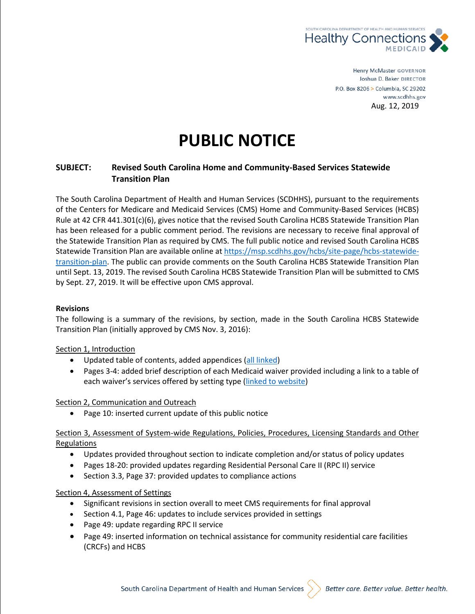

Henry McMaster GOVERNOR Joshua D. Baker DIRECTOR P.O. Box 8206 > Columbia, SC 29202 www.scdhhs.gov Aug. 12, 2019

# **PUBLIC NOTICE**

# **SUBJECT: Revised South Carolina Home and Community-Based Services Statewide Transition Plan**

The South Carolina Department of Health and Human Services (SCDHHS), pursuant to the requirements of the Centers for Medicare and Medicaid Services (CMS) Home and Community-Based Services (HCBS) Rule at 42 CFR 441.301(c)(6), gives notice that the revised South Carolina HCBS Statewide Transition Plan has been released for a public comment period. The revisions are necessary to receive final approval of the Statewide Transition Plan as required by CMS. The full public notice and revised South Carolina HCBS Statewide Transition Plan are available online at [https://msp.scdhhs.gov/hcbs/site-page/hcbs-statewide](https://msp.scdhhs.gov/hcbs/site-page/hcbs-statewide-transition-plan)[transition-plan.](https://msp.scdhhs.gov/hcbs/site-page/hcbs-statewide-transition-plan) The public can provide comments on the South Carolina HCBS Statewide Transition Plan until Sept. 13, 2019. The revised South Carolina HCBS Statewide Transition Plan will be submitted to CMS by Sept. 27, 2019. It will be effective upon CMS approval.

#### **Revisions**

The following is a summary of the revisions, by section, made in the South Carolina HCBS Statewide Transition Plan (initially approved by CMS Nov. 3, 2016):

#### Section 1, Introduction

- Updated table of contents, added appendices [\(all linked\)](https://msp.scdhhs.gov/hcbs/site-page/hcbs-statewide-transition-plan)
- Pages 3-4: added brief description of each Medicaid waiver provided including a link to a table of each waiver's services offered by setting type ([linked to website\)](https://msp.scdhhs.gov/hcbs/site-page/hcbs-statewide-transition-plan)

#### Section 2, Communication and Outreach

• Page 10: inserted current update of this public notice

## Section 3, Assessment of System-wide Regulations, Policies, Procedures, Licensing Standards and Other Regulations

- Updates provided throughout section to indicate completion and/or status of policy updates
- Pages 18-20: provided updates regarding Residential Personal Care II (RPC II) service
- Section 3.3, Page 37: provided updates to compliance actions

## Section 4, Assessment of Settings

- Significant revisions in section overall to meet CMS requirements for final approval
- Section 4.1, Page 46: updates to include services provided in settings
- Page 49: update regarding RPC II service
- Page 49: inserted information on technical assistance for community residential care facilities (CRCFs) and HCBS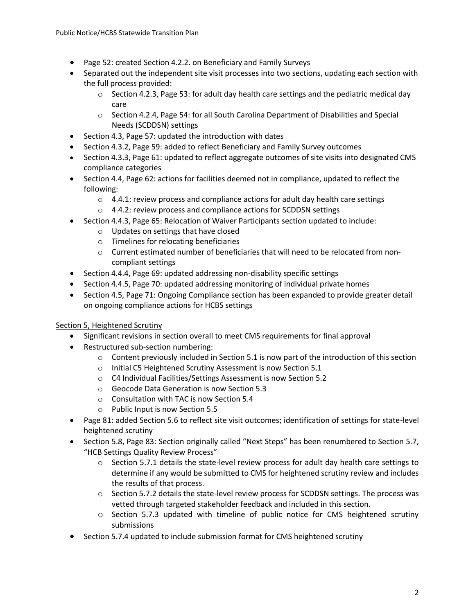- Page 52: created Section 4.2.2. on Beneficiary and Family Surveys
- Separated out the independent site visit processes into two sections, updating each section with the full process provided:
	- $\circ$  Section 4.2.3, Page 53: for adult day health care settings and the pediatric medical day care
	- $\circ$  Section 4.2.4, Page 54: for all South Carolina Department of Disabilities and Special Needs (SCDDSN) settings
- Section 4.3, Page 57: updated the introduction with dates
- Section 4.3.2, Page 59: added to reflect Beneficiary and Family Survey outcomes
- Section 4.3.3, Page 61: updated to reflect aggregate outcomes of site visits into designated CMS compliance categories
- Section 4.4, Page 62: actions for facilities deemed not in compliance, updated to reflect the following:
	- $\circ$  4.4.1: review process and compliance actions for adult day health care settings
	- o 4.4.2: review process and compliance actions for SCDDSN settings
- Section 4.4.3, Page 65: Relocation of Waiver Participants section updated to include:
	- o Updates on settings that have closed
	- o Timelines for relocating beneficiaries
	- $\circ$  Current estimated number of beneficiaries that will need to be relocated from noncompliant settings
- Section 4.4.4, Page 69: updated addressing non-disability specific settings
- Section 4.4.5, Page 70: updated addressing monitoring of individual private homes
- Section 4.5, Page 71: Ongoing Compliance section has been expanded to provide greater detail on ongoing compliance actions for HCBS settings

## Section 5, Heightened Scrutiny

- Significant revisions in section overall to meet CMS requirements for final approval
- Restructured sub-section numbering:
	- $\circ$  Content previously included in Section 5.1 is now part of the introduction of this section
	- o Initial C5 Heightened Scrutiny Assessment is now Section 5.1
	- o C4 Individual Facilities/Settings Assessment is now Section 5.2
	- o Geocode Data Generation is now Section 5.3
	- o Consultation with TAC is now Section 5.4
	- o Public Input is now Section 5.5
- Page 81: added Section 5.6 to reflect site visit outcomes; identification of settings for state-level heightened scrutiny
- Section 5.8, Page 83: Section originally called "Next Steps" has been renumbered to Section 5.7, "HCB Settings Quality Review Process"
	- $\circ$  Section 5.7.1 details the state-level review process for adult day health care settings to determine if any would be submitted to CMS for heightened scrutiny review and includes the results of that process.
	- o Section 5.7.2 details the state-level review process for SCDDSN settings. The process was vetted through targeted stakeholder feedback and included in this section.
	- o Section 5.7.3 updated with timeline of public notice for CMS heightened scrutiny submissions
- Section 5.7.4 updated to include submission format for CMS heightened scrutiny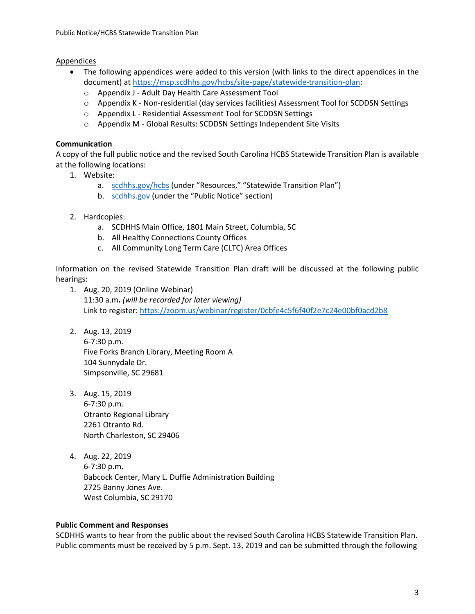## Appendices

- The following appendices were added to this version (with links to the direct appendices in the document) at [https://msp.scdhhs.gov/hcbs/site-page/statewide-transition-plan:](https://msp.scdhhs.gov/hcbs/site-page/statewide-transition-plan)
	- o Appendix J Adult Day Health Care Assessment Tool
	- o Appendix K Non-residential (day services facilities) Assessment Tool for SCDDSN Settings
	- o Appendix L Residential Assessment Tool for SCDDSN Settings
	- o Appendix M Global Results: SCDDSN Settings Independent Site Visits

## **Communication**

A copy of the full public notice and the revised South Carolina HCBS Statewide Transition Plan is available at the following locations:

- 1. Website:
	- a. [scdhhs.gov/hcbs](https://scdhhs.gov/hcbs) (under "Resources," "Statewide Transition Plan")
	- b. [scdhhs.gov](https://scdhhs.gov/) (under the "Public Notice" section)
- 2. Hardcopies:
	- a. SCDHHS Main Office, 1801 Main Street, Columbia, SC
	- b. All Healthy Connections County Offices
	- c. All Community Long Term Care (CLTC) Area Offices

Information on the revised Statewide Transition Plan draft will be discussed at the following public hearings:

- 1. Aug. 20, 2019 (Online Webinar) 11:30 a.m**.** *(will be recorded for later viewing)* Link to register: [https://zoom.us/webinar/register/0cbfe4c5f6f40f2e7c24e00bf0acd2b8](https://urldefense.proofpoint.com/v2/url?u=https-3A__zoom.us_webinar_register_0cbfe4c5f6f40f2e7c24e00bf0acd2b8&d=DwMFAg&c=l2yuVHfpC_9lAv0gltv6ZQ&r=-5IkRZLUI8twNLKgryBah2C6Ehg7XYuDutLl2EEF2Es&m=XpdKktjXvx-E_o6e0eJdbaoIqvzc-1gut_Hdk1s06ro&s=m7xjw8UvTft5imkf39asIWx0vzYUAjestVDt3wVu1ck&e=)
- 2. Aug. 13, 2019 6-7:30 p.m. Five Forks Branch Library, Meeting Room A 104 Sunnydale Dr. Simpsonville, SC 29681
- 3. Aug. 15, 2019 6-7:30 p.m. Otranto Regional Library 2261 Otranto Rd. North Charleston, SC 29406
- 4. Aug. 22, 2019 6-7:30 p.m. Babcock Center, Mary L. Duffie Administration Building 2725 Banny Jones Ave. West Columbia, SC 29170

## **Public Comment and Responses**

SCDHHS wants to hear from the public about the revised South Carolina HCBS Statewide Transition Plan. Public comments must be received by 5 p.m. Sept. 13, 2019 and can be submitted through the following